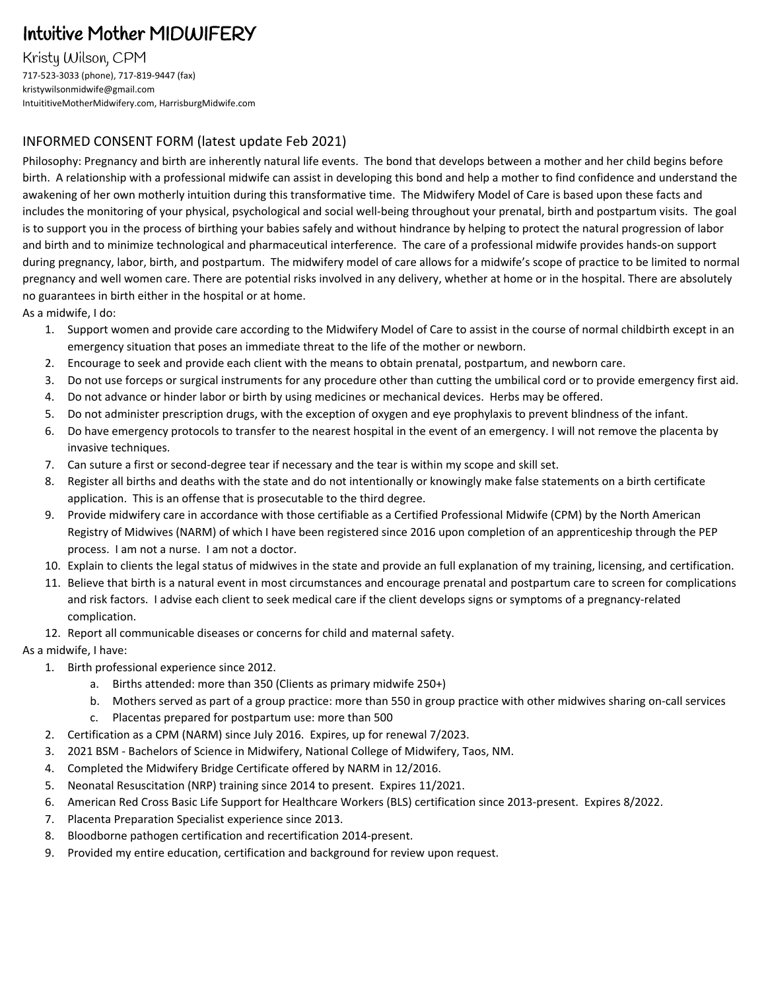# Intuitive Mother MIDWIFERY

Kristy Wilson, CPM 717-523-3033 (phone), 717-819-9447 (fax) kristywilsonmidwife@gmail.com IntuititiveMotherMidwifery.com, HarrisburgMidwife.com

## INFORMED CONSENT FORM (latest update Feb 2021)

Philosophy: Pregnancy and birth are inherently natural life events. The bond that develops between a mother and her child begins before birth. A relationship with a professional midwife can assist in developing this bond and help a mother to find confidence and understand the awakening of her own motherly intuition during this transformative time. The Midwifery Model of Care is based upon these facts and includes the monitoring of your physical, psychological and social well-being throughout your prenatal, birth and postpartum visits. The goal is to support you in the process of birthing your babies safely and without hindrance by helping to protect the natural progression of labor and birth and to minimize technological and pharmaceutical interference. The care of a professional midwife provides hands-on support during pregnancy, labor, birth, and postpartum. The midwifery model of care allows for a midwife's scope of practice to be limited to normal pregnancy and well women care. There are potential risks involved in any delivery, whether at home or in the hospital. There are absolutely no guarantees in birth either in the hospital or at home.

As a midwife, I do:

- 1. Support women and provide care according to the Midwifery Model of Care to assist in the course of normal childbirth except in an emergency situation that poses an immediate threat to the life of the mother or newborn.
- 2. Encourage to seek and provide each client with the means to obtain prenatal, postpartum, and newborn care.
- 3. Do not use forceps or surgical instruments for any procedure other than cutting the umbilical cord or to provide emergency first aid.
- 4. Do not advance or hinder labor or birth by using medicines or mechanical devices. Herbs may be offered.
- 5. Do not administer prescription drugs, with the exception of oxygen and eye prophylaxis to prevent blindness of the infant.
- 6. Do have emergency protocols to transfer to the nearest hospital in the event of an emergency. I will not remove the placenta by invasive techniques.
- 7. Can suture a first or second-degree tear if necessary and the tear is within my scope and skill set.
- 8. Register all births and deaths with the state and do not intentionally or knowingly make false statements on a birth certificate application. This is an offense that is prosecutable to the third degree.
- 9. Provide midwifery care in accordance with those certifiable as a Certified Professional Midwife (CPM) by the North American Registry of Midwives (NARM) of which I have been registered since 2016 upon completion of an apprenticeship through the PEP process. I am not a nurse. I am not a doctor.
- 10. Explain to clients the legal status of midwives in the state and provide an full explanation of my training, licensing, and certification.
- 11. Believe that birth is a natural event in most circumstances and encourage prenatal and postpartum care to screen for complications and risk factors. I advise each client to seek medical care if the client develops signs or symptoms of a pregnancy-related complication.
- 12. Report all communicable diseases or concerns for child and maternal safety.

As a midwife, I have:

- 1. Birth professional experience since 2012.
	- a. Births attended: more than 350 (Clients as primary midwife 250+)
	- b. Mothers served as part of a group practice: more than 550 in group practice with other midwives sharing on-call services
	- c. Placentas prepared for postpartum use: more than 500
- 2. Certification as a CPM (NARM) since July 2016. Expires, up for renewal 7/2023.
- 3. 2021 BSM Bachelors of Science in Midwifery, National College of Midwifery, Taos, NM.
- 4. Completed the Midwifery Bridge Certificate offered by NARM in 12/2016.
- 5. Neonatal Resuscitation (NRP) training since 2014 to present. Expires 11/2021.
- 6. American Red Cross Basic Life Support for Healthcare Workers (BLS) certification since 2013-present. Expires 8/2022.
- 7. Placenta Preparation Specialist experience since 2013.
- 8. Bloodborne pathogen certification and recertification 2014-present.
- 9. Provided my entire education, certification and background for review upon request.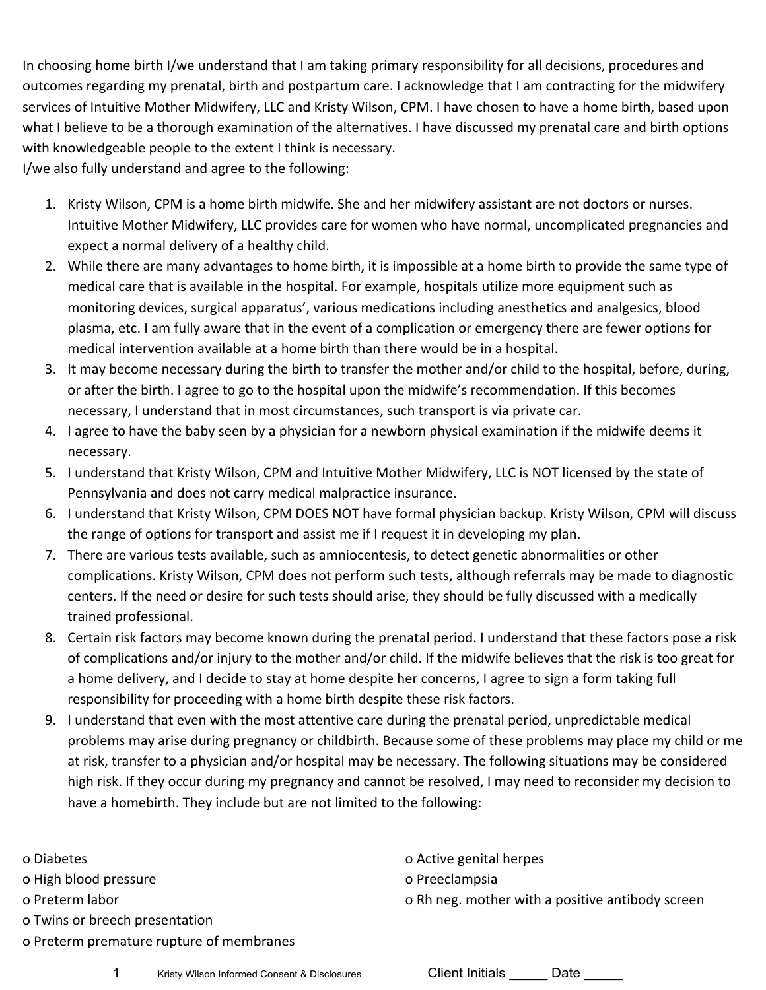In choosing home birth I/we understand that I am taking primary responsibility for all decisions, procedures and outcomes regarding my prenatal, birth and postpartum care. I acknowledge that I am contracting for the midwifery services of Intuitive Mother Midwifery, LLC and Kristy Wilson, CPM. I have chosen to have a home birth, based upon what I believe to be a thorough examination of the alternatives. I have discussed my prenatal care and birth options with knowledgeable people to the extent I think is necessary.

I/we also fully understand and agree to the following:

- 1. Kristy Wilson, CPM is a home birth midwife. She and her midwifery assistant are not doctors or nurses. Intuitive Mother Midwifery, LLC provides care for women who have normal, uncomplicated pregnancies and expect a normal delivery of a healthy child.
- 2. While there are many advantages to home birth, it is impossible at a home birth to provide the same type of medical care that is available in the hospital. For example, hospitals utilize more equipment such as monitoring devices, surgical apparatus', various medications including anesthetics and analgesics, blood plasma, etc. I am fully aware that in the event of a complication or emergency there are fewer options for medical intervention available at a home birth than there would be in a hospital.
- 3. It may become necessary during the birth to transfer the mother and/or child to the hospital, before, during, or after the birth. I agree to go to the hospital upon the midwife's recommendation. If this becomes necessary, I understand that in most circumstances, such transport is via private car.
- 4. I agree to have the baby seen by a physician for a newborn physical examination if the midwife deems it necessary.
- 5. I understand that Kristy Wilson, CPM and Intuitive Mother Midwifery, LLC is NOT licensed by the state of Pennsylvania and does not carry medical malpractice insurance.
- 6. I understand that Kristy Wilson, CPM DOES NOT have formal physician backup. Kristy Wilson, CPM will discuss the range of options for transport and assist me if I request it in developing my plan.
- 7. There are various tests available, such as amniocentesis, to detect genetic abnormalities or other complications. Kristy Wilson, CPM does not perform such tests, although referrals may be made to diagnostic centers. If the need or desire for such tests should arise, they should be fully discussed with a medically trained professional.
- 8. Certain risk factors may become known during the prenatal period. I understand that these factors pose a risk of complications and/or injury to the mother and/or child. If the midwife believes that the risk is too great for a home delivery, and I decide to stay at home despite her concerns, I agree to sign a form taking full responsibility for proceeding with a home birth despite these risk factors.
- 9. I understand that even with the most attentive care during the prenatal period, unpredictable medical problems may arise during pregnancy or childbirth. Because some of these problems may place my child or me at risk, transfer to a physician and/or hospital may be necessary. The following situations may be considered high risk. If they occur during my pregnancy and cannot be resolved, I may need to reconsider my decision to have a homebirth. They include but are not limited to the following:

| o Diabetes                               | o Active genital herpes                          |
|------------------------------------------|--------------------------------------------------|
| o High blood pressure                    | o Preeclampsia                                   |
| o Preterm labor                          | o Rh neg. mother with a positive antibody screen |
| o Twins or breech presentation           |                                                  |
| o Preterm premature rupture of membranes |                                                  |
|                                          |                                                  |

1 Kristy Wilson Informed Consent & Disclosures Client Initials Date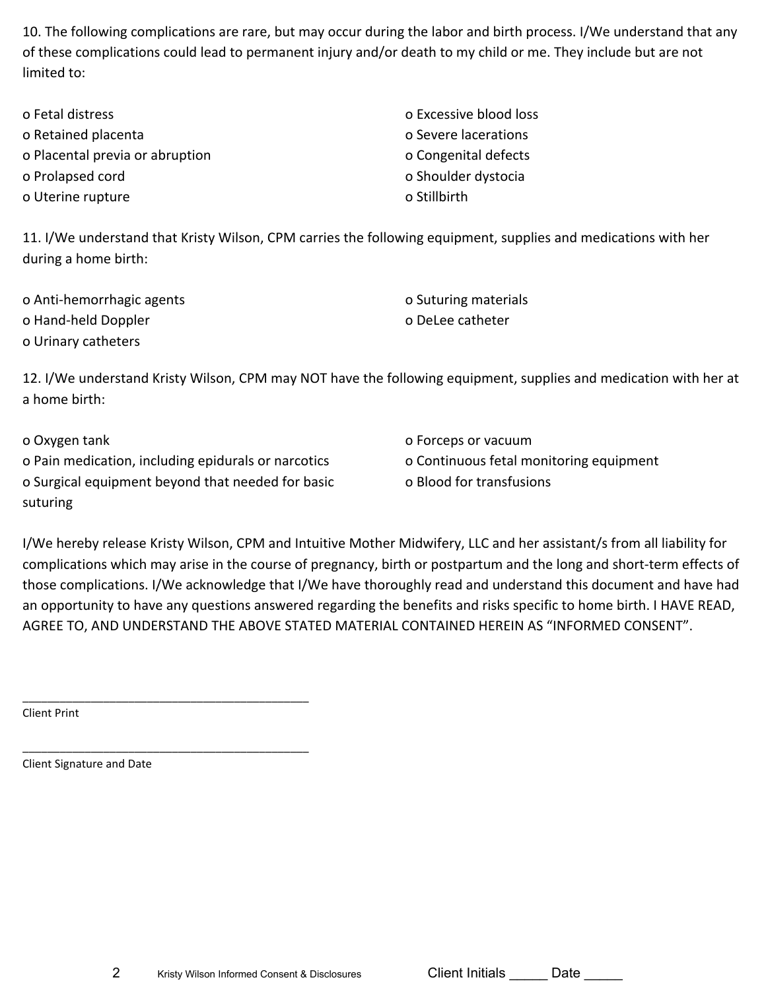10. The following complications are rare, but may occur during the labor and birth process. I/We understand that any of these complications could lead to permanent injury and/or death to my child or me. They include but are not limited to:

| o Fetal distress                | o Excessive blood loss |
|---------------------------------|------------------------|
| o Retained placenta             | o Severe lacerations   |
| o Placental previa or abruption | o Congenital defects   |
| o Prolapsed cord                | o Shoulder dystocia    |
| o Uterine rupture               | o Stillbirth           |

11. I/We understand that Kristy Wilson, CPM carries the following equipment, supplies and medications with her during a home birth:

| o Anti-hemorrhagic agents | o Suturing materials |
|---------------------------|----------------------|
| o Hand-held Doppler       | o DeLee catheter     |
| o Urinary catheters       |                      |

12. I/We understand Kristy Wilson, CPM may NOT have the following equipment, supplies and medication with her at a home birth:

| o Oxygen tank                                       | o Forceps or vacuum                     |
|-----------------------------------------------------|-----------------------------------------|
| o Pain medication, including epidurals or narcotics | o Continuous fetal monitoring equipment |
| o Surgical equipment beyond that needed for basic   | o Blood for transfusions                |
| suturing                                            |                                         |

I/We hereby release Kristy Wilson, CPM and Intuitive Mother Midwifery, LLC and her assistant/s from all liability for complications which may arise in the course of pregnancy, birth or postpartum and the long and short-term effects of those complications. I/We acknowledge that I/We have thoroughly read and understand this document and have had an opportunity to have any questions answered regarding the benefits and risks specific to home birth. I HAVE READ, AGREE TO, AND UNDERSTAND THE ABOVE STATED MATERIAL CONTAINED HEREIN AS "INFORMED CONSENT".

Client Print

Client Signature and Date

\_\_\_\_\_\_\_\_\_\_\_\_\_\_\_\_\_\_\_\_\_\_\_\_\_\_\_\_\_\_\_\_\_\_\_\_\_\_\_\_\_\_\_\_\_\_

\_\_\_\_\_\_\_\_\_\_\_\_\_\_\_\_\_\_\_\_\_\_\_\_\_\_\_\_\_\_\_\_\_\_\_\_\_\_\_\_\_\_\_\_\_\_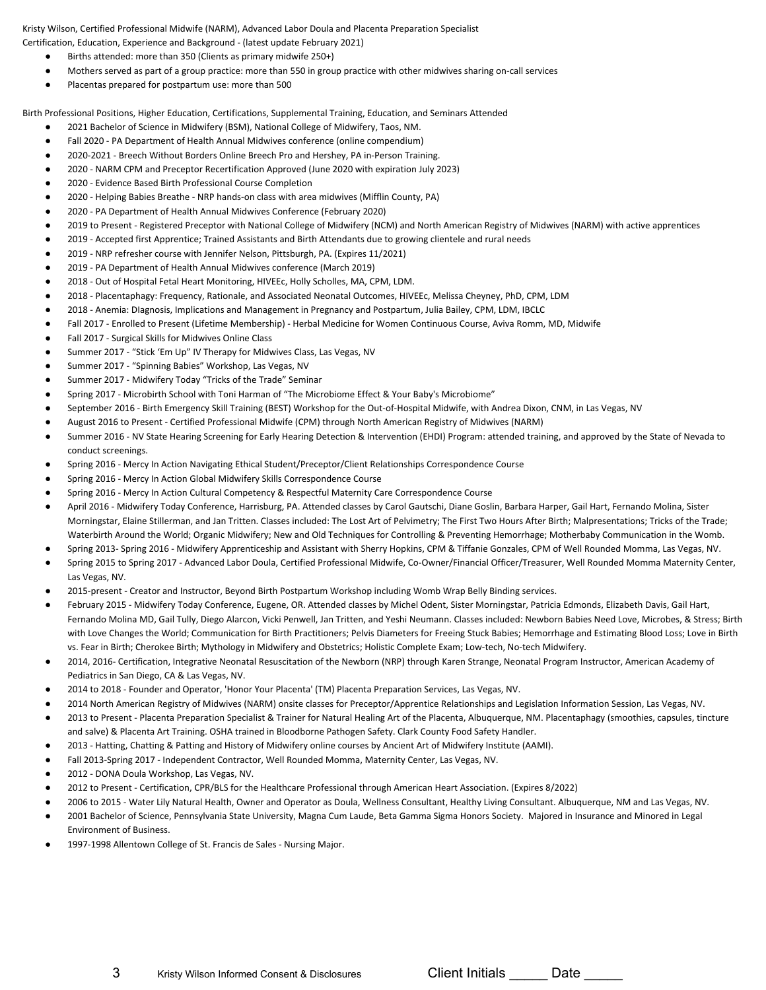Kristy Wilson, Certified Professional Midwife (NARM), Advanced Labor Doula and Placenta Preparation Specialist Certification, Education, Experience and Background - (latest update February 2021)

- Births attended: more than 350 (Clients as primary midwife 250+)
- Mothers served as part of a group practice: more than 550 in group practice with other midwives sharing on-call services
- Placentas prepared for postpartum use: more than 500

Birth Professional Positions, Higher Education, Certifications, Supplemental Training, Education, and Seminars Attended

- 2021 Bachelor of Science in Midwifery (BSM), National College of Midwifery, Taos, NM.
- Fall 2020 PA Department of Health Annual Midwives conference (online compendium)
- 2020-2021 Breech Without Borders Online Breech Pro and Hershey, PA in-Person Training.
- 2020 NARM CPM and Preceptor Recertification Approved (June 2020 with expiration July 2023)
- 2020 Evidence Based Birth Professional Course Completion
- 2020 Helping Babies Breathe NRP hands-on class with area midwives (Mifflin County, PA)
- 2020 PA Department of Health Annual Midwives Conference (February 2020)
- 2019 to Present Registered Preceptor with National College of Midwifery (NCM) and North American Registry of Midwives (NARM) with active apprentices
- 2019 Accepted first Apprentice; Trained Assistants and Birth Attendants due to growing clientele and rural needs
- 2019 NRP refresher course with Jennifer Nelson, Pittsburgh, PA. (Expires 11/2021)
- 2019 PA Department of Health Annual Midwives conference (March 2019)
- 2018 Out of Hospital Fetal Heart Monitoring, HIVEEc, Holly Scholles, MA, CPM, LDM.
- 2018 Placentaphagy: Frequency, Rationale, and Associated Neonatal Outcomes, HIVEEc, Melissa Cheyney, PhD, CPM, LDM
- 2018 Anemia: DIagnosis, Implications and Management in Pregnancy and Postpartum, Julia Bailey, CPM, LDM, IBCLC
- Fall 2017 Enrolled to Present (Lifetime Membership) Herbal Medicine for Women Continuous Course, Aviva Romm, MD, Midwife
- Fall 2017 Surgical Skills for Midwives Online Class
- Summer 2017 "Stick 'Em Up" IV Therapy for Midwives Class, Las Vegas, NV
- Summer 2017 "Spinning Babies" Workshop, Las Vegas, NV
- Summer 2017 Midwifery Today "Tricks of the Trade" Seminar
- Spring 2017 Microbirth School with Toni Harman of "The Microbiome Effect & Your Baby's Microbiome"
- September 2016 Birth Emergency Skill Training (BEST) Workshop for the Out-of-Hospital Midwife, with Andrea Dixon, CNM, in Las Vegas, NV
- August 2016 to Present Certified Professional Midwife (CPM) through North American Registry of Midwives (NARM)
- Summer 2016 NV State Hearing Screening for Early Hearing Detection & Intervention (EHDI) Program: attended training, and approved by the State of Nevada to conduct screenings.
- Spring 2016 Mercy In Action Navigating Ethical Student/Preceptor/Client Relationships Correspondence Course
- Spring 2016 Mercy In Action Global Midwifery Skills Correspondence Course
- Spring 2016 Mercy In Action Cultural Competency & Respectful Maternity Care Correspondence Course
- April 2016 Midwifery Today Conference, Harrisburg, PA. Attended classes by Carol Gautschi, Diane Goslin, Barbara Harper, Gail Hart, Fernando Molina, Sister Morningstar, Elaine Stillerman, and Jan Tritten. Classes included: The Lost Art of Pelvimetry; The First Two Hours After Birth; Malpresentations; Tricks of the Trade; Waterbirth Around the World; Organic Midwifery; New and Old Techniques for Controlling & Preventing Hemorrhage; Motherbaby Communication in the Womb.
- Spring 2013- Spring 2016 Midwifery Apprenticeship and Assistant with Sherry Hopkins, CPM & Tiffanie Gonzales, CPM of Well Rounded Momma, Las Vegas, NV.
- Spring 2015 to Spring 2017 Advanced Labor Doula, Certified Professional Midwife, Co-Owner/Financial Officer/Treasurer, Well Rounded Momma Maternity Center, Las Vegas, NV.
- 2015-present Creator and Instructor, Beyond Birth Postpartum Workshop including Womb Wrap Belly Binding services.
- February 2015 Midwifery Today Conference, Eugene, OR. Attended classes by Michel Odent, Sister Morningstar, Patricia Edmonds, Elizabeth Davis, Gail Hart, Fernando Molina MD, Gail Tully, Diego Alarcon, Vicki Penwell, Jan Tritten, and Yeshi Neumann. Classes included: Newborn Babies Need Love, Microbes, & Stress; Birth with Love Changes the World; Communication for Birth Practitioners; Pelvis Diameters for Freeing Stuck Babies; Hemorrhage and Estimating Blood Loss; Love in Birth vs. Fear in Birth; Cherokee Birth; Mythology in Midwifery and Obstetrics; Holistic Complete Exam; Low-tech, No-tech Midwifery.
- 2014, 2016- Certification, Integrative Neonatal Resuscitation of the Newborn (NRP) through Karen Strange, Neonatal Program Instructor, American Academy of Pediatrics in San Diego, CA & Las Vegas, NV.
- 2014 to 2018 Founder and Operator, 'Honor Your Placenta' (TM) Placenta Preparation Services, Las Vegas, NV.
- 2014 North American Registry of Midwives (NARM) onsite classes for Preceptor/Apprentice Relationships and Legislation Information Session, Las Vegas, NV.
- 2013 to Present Placenta Preparation Specialist & Trainer for Natural Healing Art of the Placenta, Albuquerque, NM. Placentaphagy (smoothies, capsules, tincture and salve) & Placenta Art Training. OSHA trained in Bloodborne Pathogen Safety. Clark County Food Safety Handler.
- 2013 Hatting, Chatting & Patting and History of Midwifery online courses by Ancient Art of Midwifery Institute (AAMI).
- Fall 2013-Spring 2017 Independent Contractor, Well Rounded Momma, Maternity Center, Las Vegas, NV.
- 2012 DONA Doula Workshop, Las Vegas, NV.
- 2012 to Present Certification, CPR/BLS for the Healthcare Professional through American Heart Association. (Expires 8/2022)
- 2006 to 2015 Water Lily Natural Health, Owner and Operator as Doula, Wellness Consultant, Healthy Living Consultant. Albuquerque, NM and Las Vegas, NV.
- 2001 Bachelor of Science, Pennsylvania State University, Magna Cum Laude, Beta Gamma Sigma Honors Society. Majored in Insurance and Minored in Legal Environment of Business.
- 1997-1998 Allentown College of St. Francis de Sales Nursing Major.

3 Kristy Wilson Informed Consent & Disclosures Client Initials Date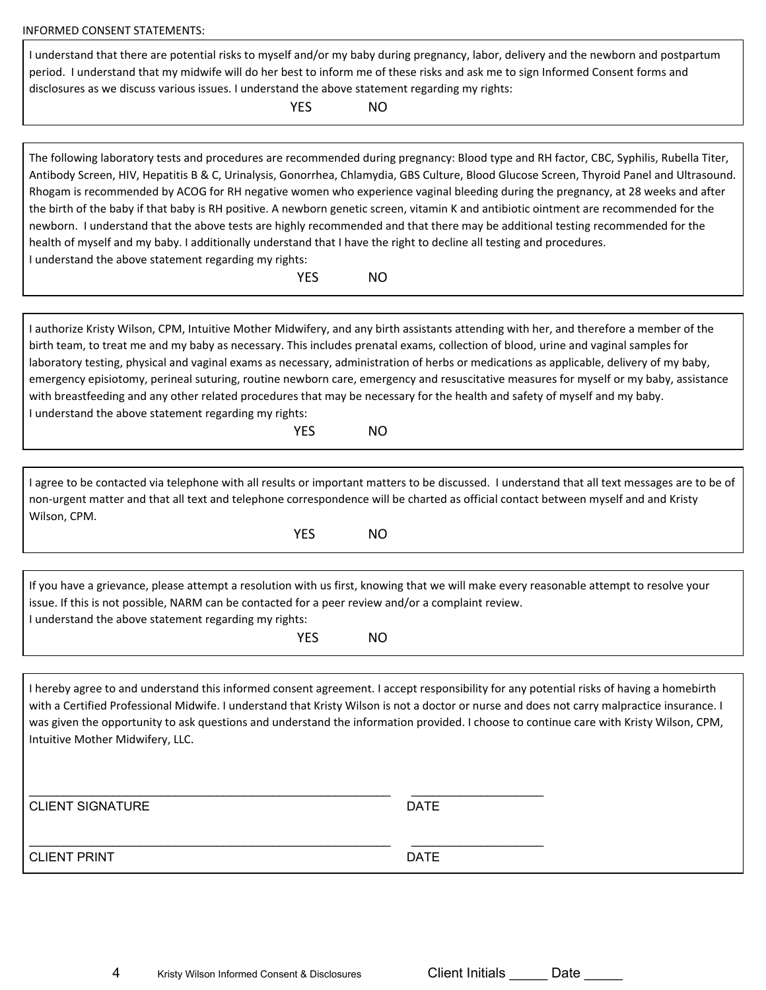| <b>INFORMED CONSENT STATEMENTS:</b>                                                                                                                                                                                                                                                                                                                                                                                                                                                                                                                                                                                                                                                                                                                                                                                                                                                                             |             |  |  |  |
|-----------------------------------------------------------------------------------------------------------------------------------------------------------------------------------------------------------------------------------------------------------------------------------------------------------------------------------------------------------------------------------------------------------------------------------------------------------------------------------------------------------------------------------------------------------------------------------------------------------------------------------------------------------------------------------------------------------------------------------------------------------------------------------------------------------------------------------------------------------------------------------------------------------------|-------------|--|--|--|
| I understand that there are potential risks to myself and/or my baby during pregnancy, labor, delivery and the newborn and postpartum<br>period. I understand that my midwife will do her best to inform me of these risks and ask me to sign Informed Consent forms and<br>disclosures as we discuss various issues. I understand the above statement regarding my rights:<br><b>YES</b><br>NO                                                                                                                                                                                                                                                                                                                                                                                                                                                                                                                 |             |  |  |  |
|                                                                                                                                                                                                                                                                                                                                                                                                                                                                                                                                                                                                                                                                                                                                                                                                                                                                                                                 |             |  |  |  |
| The following laboratory tests and procedures are recommended during pregnancy: Blood type and RH factor, CBC, Syphilis, Rubella Titer,<br>Antibody Screen, HIV, Hepatitis B & C, Urinalysis, Gonorrhea, Chlamydia, GBS Culture, Blood Glucose Screen, Thyroid Panel and Ultrasound.<br>Rhogam is recommended by ACOG for RH negative women who experience vaginal bleeding during the pregnancy, at 28 weeks and after<br>the birth of the baby if that baby is RH positive. A newborn genetic screen, vitamin K and antibiotic ointment are recommended for the<br>newborn. I understand that the above tests are highly recommended and that there may be additional testing recommended for the<br>health of myself and my baby. I additionally understand that I have the right to decline all testing and procedures.<br>I understand the above statement regarding my rights:<br><b>YES</b><br><b>NO</b> |             |  |  |  |
|                                                                                                                                                                                                                                                                                                                                                                                                                                                                                                                                                                                                                                                                                                                                                                                                                                                                                                                 |             |  |  |  |
| I authorize Kristy Wilson, CPM, Intuitive Mother Midwifery, and any birth assistants attending with her, and therefore a member of the<br>birth team, to treat me and my baby as necessary. This includes prenatal exams, collection of blood, urine and vaginal samples for<br>laboratory testing, physical and vaginal exams as necessary, administration of herbs or medications as applicable, delivery of my baby,<br>emergency episiotomy, perineal suturing, routine newborn care, emergency and resuscitative measures for myself or my baby, assistance<br>with breastfeeding and any other related procedures that may be necessary for the health and safety of myself and my baby.<br>I understand the above statement regarding my rights:<br><b>YES</b><br><b>NO</b>                                                                                                                              |             |  |  |  |
|                                                                                                                                                                                                                                                                                                                                                                                                                                                                                                                                                                                                                                                                                                                                                                                                                                                                                                                 |             |  |  |  |
| I agree to be contacted via telephone with all results or important matters to be discussed. I understand that all text messages are to be of<br>non-urgent matter and that all text and telephone correspondence will be charted as official contact between myself and and Kristy<br>Wilson, CPM.<br><b>YES</b><br><b>NO</b>                                                                                                                                                                                                                                                                                                                                                                                                                                                                                                                                                                                  |             |  |  |  |
|                                                                                                                                                                                                                                                                                                                                                                                                                                                                                                                                                                                                                                                                                                                                                                                                                                                                                                                 |             |  |  |  |
| If you have a grievance, please attempt a resolution with us first, knowing that we will make every reasonable attempt to resolve your<br>issue. If this is not possible, NARM can be contacted for a peer review and/or a complaint review.<br>I understand the above statement regarding my rights:<br><b>YES</b><br><b>NO</b>                                                                                                                                                                                                                                                                                                                                                                                                                                                                                                                                                                                |             |  |  |  |
|                                                                                                                                                                                                                                                                                                                                                                                                                                                                                                                                                                                                                                                                                                                                                                                                                                                                                                                 |             |  |  |  |
| I hereby agree to and understand this informed consent agreement. I accept responsibility for any potential risks of having a homebirth<br>with a Certified Professional Midwife. I understand that Kristy Wilson is not a doctor or nurse and does not carry malpractice insurance. I<br>was given the opportunity to ask questions and understand the information provided. I choose to continue care with Kristy Wilson, CPM,<br>Intuitive Mother Midwifery, LLC.                                                                                                                                                                                                                                                                                                                                                                                                                                            |             |  |  |  |
| <b>CLIENT SIGNATURE</b>                                                                                                                                                                                                                                                                                                                                                                                                                                                                                                                                                                                                                                                                                                                                                                                                                                                                                         | <b>DATE</b> |  |  |  |
|                                                                                                                                                                                                                                                                                                                                                                                                                                                                                                                                                                                                                                                                                                                                                                                                                                                                                                                 |             |  |  |  |

|  | Date |  |
|--|------|--|
|  |      |  |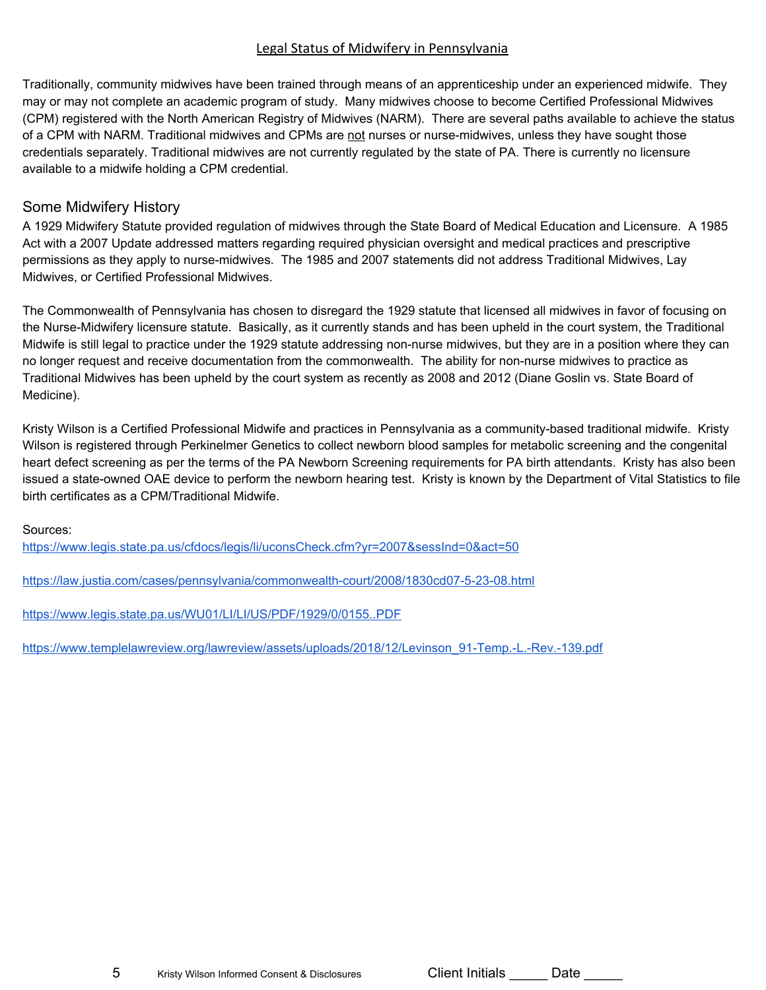#### Legal Status of Midwifery in Pennsylvania

Traditionally, community midwives have been trained through means of an apprenticeship under an experienced midwife. They may or may not complete an academic program of study. Many midwives choose to become Certified Professional Midwives (CPM) registered with the North American Registry of Midwives (NARM). There are several paths available to achieve the status of a CPM with NARM. Traditional midwives and CPMs are not nurses or nurse-midwives, unless they have sought those credentials separately. Traditional midwives are not currently regulated by the state of PA. There is currently no licensure available to a midwife holding a CPM credential.

### Some Midwifery History

A 1929 Midwifery Statute provided regulation of midwives through the State Board of Medical Education and Licensure. A 1985 Act with a 2007 Update addressed matters regarding required physician oversight and medical practices and prescriptive permissions as they apply to nurse-midwives. The 1985 and 2007 statements did not address Traditional Midwives, Lay Midwives, or Certified Professional Midwives.

The Commonwealth of Pennsylvania has chosen to disregard the 1929 statute that licensed all midwives in favor of focusing on the Nurse-Midwifery licensure statute. Basically, as it currently stands and has been upheld in the court system, the Traditional Midwife is still legal to practice under the 1929 statute addressing non-nurse midwives, but they are in a position where they can no longer request and receive documentation from the commonwealth. The ability for non-nurse midwives to practice as Traditional Midwives has been upheld by the court system as recently as 2008 and 2012 (Diane Goslin vs. State Board of Medicine).

Kristy Wilson is a Certified Professional Midwife and practices in Pennsylvania as a community-based traditional midwife. Kristy Wilson is registered through Perkinelmer Genetics to collect newborn blood samples for metabolic screening and the congenital heart defect screening as per the terms of the PA Newborn Screening requirements for PA birth attendants. Kristy has also been issued a state-owned OAE device to perform the newborn hearing test. Kristy is known by the Department of Vital Statistics to file birth certificates as a CPM/Traditional Midwife.

Sources:

<https://www.legis.state.pa.us/cfdocs/legis/li/uconsCheck.cfm?yr=2007&sessInd=0&act=50>

<https://law.justia.com/cases/pennsylvania/commonwealth-court/2008/1830cd07-5-23-08.html>

<https://www.legis.state.pa.us/WU01/LI/LI/US/PDF/1929/0/0155..PDF>

[https://www.templelawreview.org/lawreview/assets/uploads/2018/12/Levinson\\_91-Temp.-L.-Rev.-139.pdf](https://www.templelawreview.org/lawreview/assets/uploads/2018/12/Levinson_91-Temp.-L.-Rev.-139.pdf)